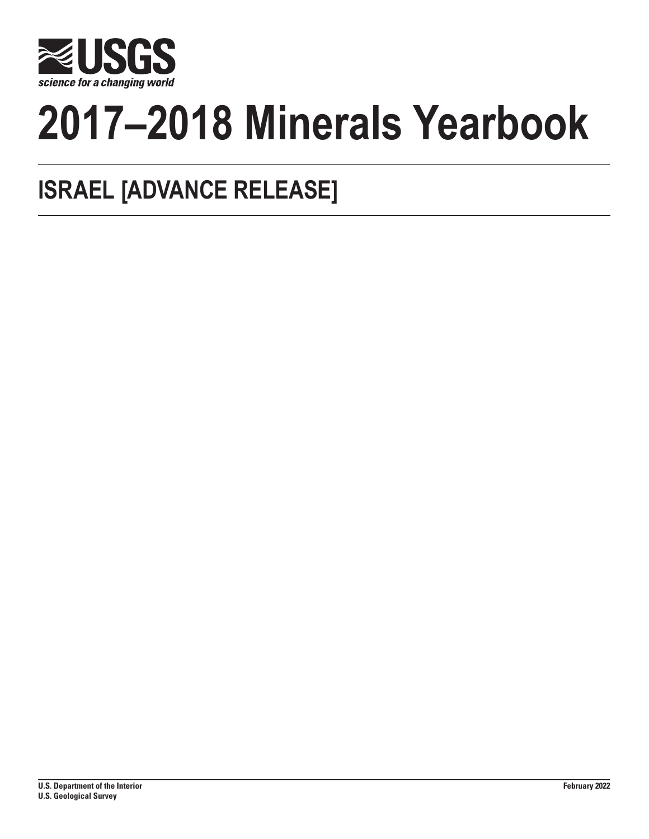

# **2017–2018 Minerals Yearbook**

## **ISRAEL [ADVANCE RELEASE]**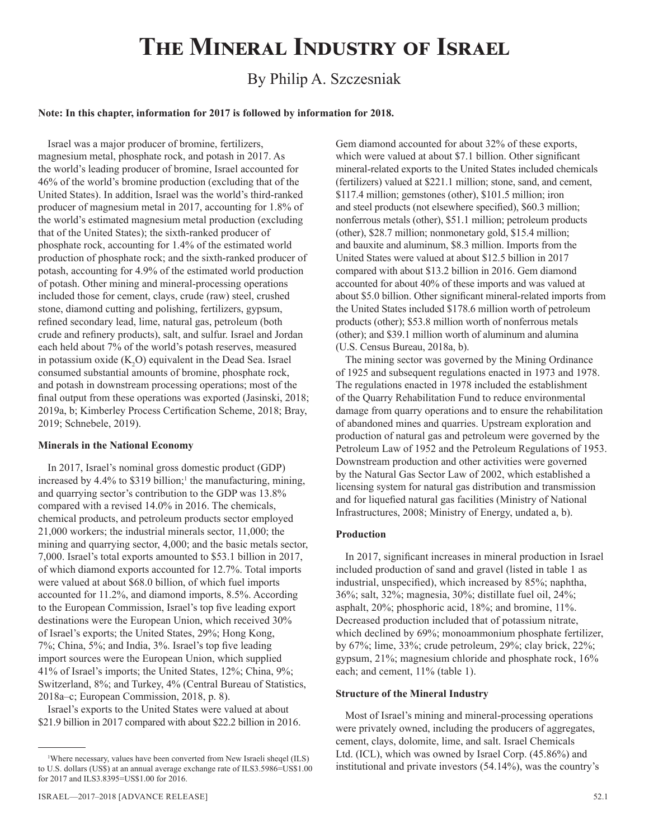## **The Mineral Industry of Israel**

### By Philip A. Szczesniak

#### **Note: In this chapter, information for 2017 is followed by information for 2018.**

Israel was a major producer of bromine, fertilizers, magnesium metal, phosphate rock, and potash in 2017. As the world's leading producer of bromine, Israel accounted for 46% of the world's bromine production (excluding that of the United States). In addition, Israel was the world's third-ranked producer of magnesium metal in 2017, accounting for 1.8% of the world's estimated magnesium metal production (excluding that of the United States); the sixth-ranked producer of phosphate rock, accounting for 1.4% of the estimated world production of phosphate rock; and the sixth-ranked producer of potash, accounting for 4.9% of the estimated world production of potash. Other mining and mineral-processing operations included those for cement, clays, crude (raw) steel, crushed stone, diamond cutting and polishing, fertilizers, gypsum, refined secondary lead, lime, natural gas, petroleum (both crude and refinery products), salt, and sulfur. Israel and Jordan each held about 7% of the world's potash reserves, measured in potassium oxide  $(K_2O)$  equivalent in the Dead Sea. Israel consumed substantial amounts of bromine, phosphate rock, and potash in downstream processing operations; most of the final output from these operations was exported (Jasinski, 2018; 2019a, b; Kimberley Process Certification Scheme, 2018; Bray, 2019; Schnebele, 2019).

#### **Minerals in the National Economy**

In 2017, Israel's nominal gross domestic product (GDP) increased by  $4.4\%$  to \$319 billion;<sup>1</sup> the manufacturing, mining, and quarrying sector's contribution to the GDP was 13.8% compared with a revised 14.0% in 2016. The chemicals, chemical products, and petroleum products sector employed 21,000 workers; the industrial minerals sector, 11,000; the mining and quarrying sector, 4,000; and the basic metals sector, 7,000. Israel's total exports amounted to \$53.1 billion in 2017, of which diamond exports accounted for 12.7%. Total imports were valued at about \$68.0 billion, of which fuel imports accounted for 11.2%, and diamond imports, 8.5%. According to the European Commission, Israel's top five leading export destinations were the European Union, which received 30% of Israel's exports; the United States, 29%; Hong Kong, 7%; China, 5%; and India, 3%. Israel's top five leading import sources were the European Union, which supplied 41% of Israel's imports; the United States, 12%; China, 9%; Switzerland, 8%; and Turkey, 4% (Central Bureau of Statistics, 2018a–c; European Commission, 2018, p. 8).

Israel's exports to the United States were valued at about \$21.9 billion in 2017 compared with about \$22.2 billion in 2016. Gem diamond accounted for about 32% of these exports, which were valued at about \$7.1 billion. Other significant mineral-related exports to the United States included chemicals (fertilizers) valued at \$221.1 million; stone, sand, and cement, \$117.4 million; gemstones (other), \$101.5 million; iron and steel products (not elsewhere specified), \$60.3 million; nonferrous metals (other), \$51.1 million; petroleum products (other), \$28.7 million; nonmonetary gold, \$15.4 million; and bauxite and aluminum, \$8.3 million. Imports from the United States were valued at about \$12.5 billion in 2017 compared with about \$13.2 billion in 2016. Gem diamond accounted for about 40% of these imports and was valued at about \$5.0 billion. Other significant mineral-related imports from the United States included \$178.6 million worth of petroleum products (other); \$53.8 million worth of nonferrous metals (other); and \$39.1 million worth of aluminum and alumina (U.S. Census Bureau, 2018a, b).

The mining sector was governed by the Mining Ordinance of 1925 and subsequent regulations enacted in 1973 and 1978. The regulations enacted in 1978 included the establishment of the Quarry Rehabilitation Fund to reduce environmental damage from quarry operations and to ensure the rehabilitation of abandoned mines and quarries. Upstream exploration and production of natural gas and petroleum were governed by the Petroleum Law of 1952 and the Petroleum Regulations of 1953. Downstream production and other activities were governed by the Natural Gas Sector Law of 2002, which established a licensing system for natural gas distribution and transmission and for liquefied natural gas facilities (Ministry of National Infrastructures, 2008; Ministry of Energy, undated a, b).

#### **Production**

In 2017, significant increases in mineral production in Israel included production of sand and gravel (listed in table 1 as industrial, unspecified), which increased by 85%; naphtha, 36%; salt, 32%; magnesia, 30%; distillate fuel oil, 24%; asphalt, 20%; phosphoric acid, 18%; and bromine, 11%. Decreased production included that of potassium nitrate, which declined by 69%; monoammonium phosphate fertilizer, by 67%; lime, 33%; crude petroleum, 29%; clay brick, 22%; gypsum, 21%; magnesium chloride and phosphate rock, 16% each; and cement, 11% (table 1).

#### **Structure of the Mineral Industry**

Most of Israel's mining and mineral-processing operations were privately owned, including the producers of aggregates, cement, clays, dolomite, lime, and salt. Israel Chemicals Ltd. (ICL), which was owned by Israel Corp. (45.86%) and institutional and private investors (54.14%), was the country's

<sup>1</sup> Where necessary, values have been converted from New Israeli sheqel (ILS) to U.S. dollars (US\$) at an annual average exchange rate of ILS3.5986=US\$1.00 for 2017 and ILS3.8395=US\$1.00 for 2016.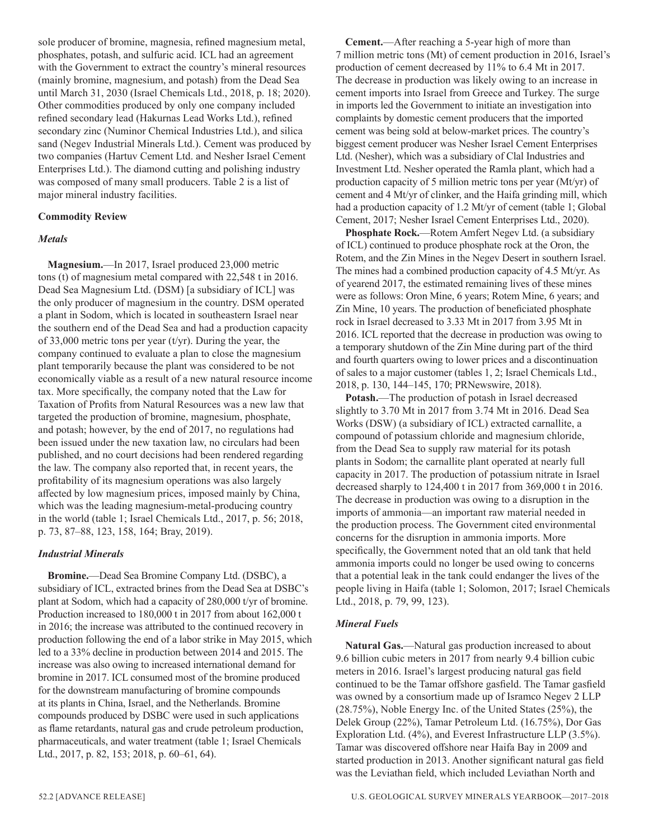sole producer of bromine, magnesia, refined magnesium metal, phosphates, potash, and sulfuric acid. ICL had an agreement with the Government to extract the country's mineral resources (mainly bromine, magnesium, and potash) from the Dead Sea until March 31, 2030 (Israel Chemicals Ltd., 2018, p. 18; 2020). Other commodities produced by only one company included refined secondary lead (Hakurnas Lead Works Ltd.), refined secondary zinc (Numinor Chemical Industries Ltd.), and silica sand (Negev Industrial Minerals Ltd.). Cement was produced by two companies (Hartuv Cement Ltd. and Nesher Israel Cement Enterprises Ltd.). The diamond cutting and polishing industry was composed of many small producers. Table 2 is a list of major mineral industry facilities.

#### **Commodity Review**

#### *Metals*

**Magnesium.**—In 2017, Israel produced 23,000 metric tons (t) of magnesium metal compared with 22,548 t in 2016. Dead Sea Magnesium Ltd. (DSM) [a subsidiary of ICL] was the only producer of magnesium in the country. DSM operated a plant in Sodom, which is located in southeastern Israel near the southern end of the Dead Sea and had a production capacity of 33,000 metric tons per year (t/yr). During the year, the company continued to evaluate a plan to close the magnesium plant temporarily because the plant was considered to be not economically viable as a result of a new natural resource income tax. More specifically, the company noted that the Law for Taxation of Profits from Natural Resources was a new law that targeted the production of bromine, magnesium, phosphate, and potash; however, by the end of 2017, no regulations had been issued under the new taxation law, no circulars had been published, and no court decisions had been rendered regarding the law. The company also reported that, in recent years, the profitability of its magnesium operations was also largely affected by low magnesium prices, imposed mainly by China, which was the leading magnesium-metal-producing country in the world (table 1; Israel Chemicals Ltd., 2017, p. 56; 2018, p. 73, 87–88, 123, 158, 164; Bray, 2019).

#### *Industrial Minerals*

**Bromine.**—Dead Sea Bromine Company Ltd. (DSBC), a subsidiary of ICL, extracted brines from the Dead Sea at DSBC's plant at Sodom, which had a capacity of 280,000 t/yr of bromine. Production increased to 180,000 t in 2017 from about 162,000 t in 2016; the increase was attributed to the continued recovery in production following the end of a labor strike in May 2015, which led to a 33% decline in production between 2014 and 2015. The increase was also owing to increased international demand for bromine in 2017. ICL consumed most of the bromine produced for the downstream manufacturing of bromine compounds at its plants in China, Israel, and the Netherlands. Bromine compounds produced by DSBC were used in such applications as flame retardants, natural gas and crude petroleum production, pharmaceuticals, and water treatment (table 1; Israel Chemicals Ltd., 2017, p. 82, 153; 2018, p. 60–61, 64).

**Cement.**—After reaching a 5-year high of more than 7 million metric tons (Mt) of cement production in 2016, Israel's production of cement decreased by 11% to 6.4 Mt in 2017. The decrease in production was likely owing to an increase in cement imports into Israel from Greece and Turkey. The surge in imports led the Government to initiate an investigation into complaints by domestic cement producers that the imported cement was being sold at below-market prices. The country's biggest cement producer was Nesher Israel Cement Enterprises Ltd. (Nesher), which was a subsidiary of Clal Industries and Investment Ltd. Nesher operated the Ramla plant, which had a production capacity of 5 million metric tons per year (Mt/yr) of cement and 4 Mt/yr of clinker, and the Haifa grinding mill, which had a production capacity of 1.2 Mt/yr of cement (table 1; Global Cement, 2017; Nesher Israel Cement Enterprises Ltd., 2020).

**Phosphate Rock.**—Rotem Amfert Negev Ltd. (a subsidiary of ICL) continued to produce phosphate rock at the Oron, the Rotem, and the Zin Mines in the Negev Desert in southern Israel. The mines had a combined production capacity of 4.5 Mt/yr. As of yearend 2017, the estimated remaining lives of these mines were as follows: Oron Mine, 6 years; Rotem Mine, 6 years; and Zin Mine, 10 years. The production of beneficiated phosphate rock in Israel decreased to 3.33 Mt in 2017 from 3.95 Mt in 2016. ICL reported that the decrease in production was owing to a temporary shutdown of the Zin Mine during part of the third and fourth quarters owing to lower prices and a discontinuation of sales to a major customer (tables 1, 2; Israel Chemicals Ltd., 2018, p. 130, 144–145, 170; PRNewswire, 2018).

**Potash.**—The production of potash in Israel decreased slightly to 3.70 Mt in 2017 from 3.74 Mt in 2016. Dead Sea Works (DSW) (a subsidiary of ICL) extracted carnallite, a compound of potassium chloride and magnesium chloride, from the Dead Sea to supply raw material for its potash plants in Sodom; the carnallite plant operated at nearly full capacity in 2017. The production of potassium nitrate in Israel decreased sharply to 124,400 t in 2017 from 369,000 t in 2016. The decrease in production was owing to a disruption in the imports of ammonia—an important raw material needed in the production process. The Government cited environmental concerns for the disruption in ammonia imports. More specifically, the Government noted that an old tank that held ammonia imports could no longer be used owing to concerns that a potential leak in the tank could endanger the lives of the people living in Haifa (table 1; Solomon, 2017; Israel Chemicals Ltd., 2018, p. 79, 99, 123).

#### *Mineral Fuels*

**Natural Gas.**—Natural gas production increased to about 9.6 billion cubic meters in 2017 from nearly 9.4 billion cubic meters in 2016. Israel's largest producing natural gas field continued to be the Tamar offshore gasfield. The Tamar gasfield was owned by a consortium made up of Isramco Negev 2 LLP (28.75%), Noble Energy Inc. of the United States (25%), the Delek Group (22%), Tamar Petroleum Ltd. (16.75%), Dor Gas Exploration Ltd. (4%), and Everest Infrastructure LLP (3.5%). Tamar was discovered offshore near Haifa Bay in 2009 and started production in 2013. Another significant natural gas field was the Leviathan field, which included Leviathan North and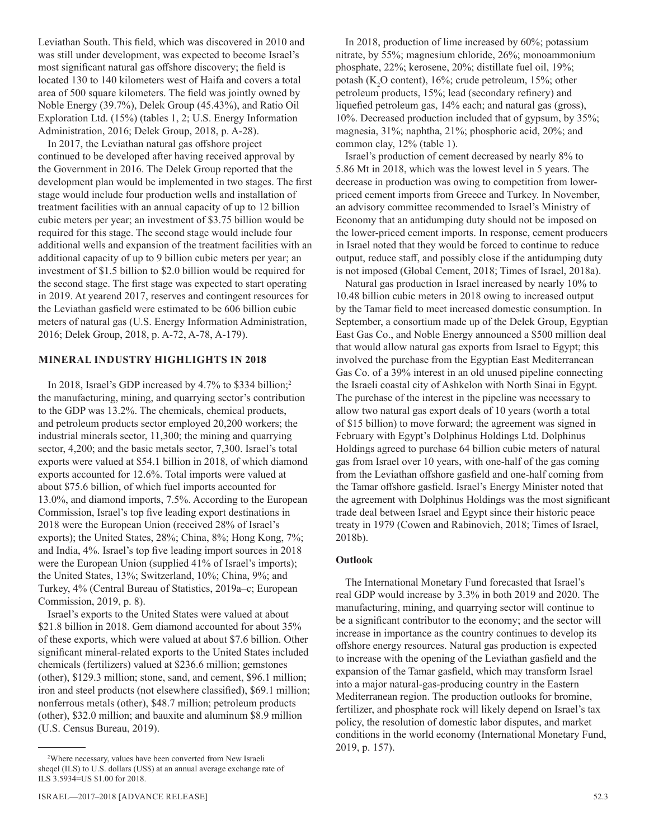Leviathan South. This field, which was discovered in 2010 and was still under development, was expected to become Israel's most significant natural gas offshore discovery; the field is located 130 to 140 kilometers west of Haifa and covers a total area of 500 square kilometers. The field was jointly owned by Noble Energy (39.7%), Delek Group (45.43%), and Ratio Oil Exploration Ltd. (15%) (tables 1, 2; U.S. Energy Information Administration, 2016; Delek Group, 2018, p. A-28).

In 2017, the Leviathan natural gas offshore project continued to be developed after having received approval by the Government in 2016. The Delek Group reported that the development plan would be implemented in two stages. The first stage would include four production wells and installation of treatment facilities with an annual capacity of up to 12 billion cubic meters per year; an investment of \$3.75 billion would be required for this stage. The second stage would include four additional wells and expansion of the treatment facilities with an additional capacity of up to 9 billion cubic meters per year; an investment of \$1.5 billion to \$2.0 billion would be required for the second stage. The first stage was expected to start operating in 2019. At yearend 2017, reserves and contingent resources for the Leviathan gasfield were estimated to be 606 billion cubic meters of natural gas (U.S. Energy Information Administration, 2016; Delek Group, 2018, p. A-72, A-78, A-179).

#### **MINERAL INDUSTRY HIGHLIGHTS IN 2018**

In 2018, Israel's GDP increased by 4.7% to \$334 billion;<sup>2</sup> the manufacturing, mining, and quarrying sector's contribution to the GDP was 13.2%. The chemicals, chemical products, and petroleum products sector employed 20,200 workers; the industrial minerals sector, 11,300; the mining and quarrying sector, 4,200; and the basic metals sector, 7,300. Israel's total exports were valued at \$54.1 billion in 2018, of which diamond exports accounted for 12.6%. Total imports were valued at about \$75.6 billion, of which fuel imports accounted for 13.0%, and diamond imports, 7.5%. According to the European Commission, Israel's top five leading export destinations in 2018 were the European Union (received 28% of Israel's exports); the United States, 28%; China, 8%; Hong Kong, 7%; and India, 4%. Israel's top five leading import sources in 2018 were the European Union (supplied 41% of Israel's imports); the United States, 13%; Switzerland, 10%; China, 9%; and Turkey, 4% (Central Bureau of Statistics, 2019a–c; European Commission, 2019, p. 8).

Israel's exports to the United States were valued at about \$21.8 billion in 2018. Gem diamond accounted for about 35% of these exports, which were valued at about \$7.6 billion. Other significant mineral-related exports to the United States included chemicals (fertilizers) valued at \$236.6 million; gemstones (other), \$129.3 million; stone, sand, and cement, \$96.1 million; iron and steel products (not elsewhere classified), \$69.1 million; nonferrous metals (other), \$48.7 million; petroleum products (other), \$32.0 million; and bauxite and aluminum \$8.9 million (U.S. Census Bureau, 2019).

In 2018, production of lime increased by 60%; potassium nitrate, by 55%; magnesium chloride, 26%; monoammonium phosphate, 22%; kerosene, 20%; distillate fuel oil, 19%; potash ( $K_2O$  content), 16%; crude petroleum, 15%; other petroleum products, 15%; lead (secondary refinery) and liquefied petroleum gas, 14% each; and natural gas (gross), 10%. Decreased production included that of gypsum, by 35%; magnesia, 31%; naphtha, 21%; phosphoric acid, 20%; and common clay, 12% (table 1).

Israel's production of cement decreased by nearly 8% to 5.86 Mt in 2018, which was the lowest level in 5 years. The decrease in production was owing to competition from lowerpriced cement imports from Greece and Turkey. In November, an advisory committee recommended to Israel's Ministry of Economy that an antidumping duty should not be imposed on the lower-priced cement imports. In response, cement producers in Israel noted that they would be forced to continue to reduce output, reduce staff, and possibly close if the antidumping duty is not imposed (Global Cement, 2018; Times of Israel, 2018a).

Natural gas production in Israel increased by nearly 10% to 10.48 billion cubic meters in 2018 owing to increased output by the Tamar field to meet increased domestic consumption. In September, a consortium made up of the Delek Group, Egyptian East Gas Co., and Noble Energy announced a \$500 million deal that would allow natural gas exports from Israel to Egypt; this involved the purchase from the Egyptian East Mediterranean Gas Co. of a 39% interest in an old unused pipeline connecting the Israeli coastal city of Ashkelon with North Sinai in Egypt. The purchase of the interest in the pipeline was necessary to allow two natural gas export deals of 10 years (worth a total of \$15 billion) to move forward; the agreement was signed in February with Egypt's Dolphinus Holdings Ltd. Dolphinus Holdings agreed to purchase 64 billion cubic meters of natural gas from Israel over 10 years, with one-half of the gas coming from the Leviathan offshore gasfield and one-half coming from the Tamar offshore gasfield. Israel's Energy Minister noted that the agreement with Dolphinus Holdings was the most significant trade deal between Israel and Egypt since their historic peace treaty in 1979 (Cowen and Rabinovich, 2018; Times of Israel, 2018b).

#### **Outlook**

The International Monetary Fund forecasted that Israel's real GDP would increase by 3.3% in both 2019 and 2020. The manufacturing, mining, and quarrying sector will continue to be a significant contributor to the economy; and the sector will increase in importance as the country continues to develop its offshore energy resources. Natural gas production is expected to increase with the opening of the Leviathan gasfield and the expansion of the Tamar gasfield, which may transform Israel into a major natural-gas-producing country in the Eastern Mediterranean region. The production outlooks for bromine, fertilizer, and phosphate rock will likely depend on Israel's tax policy, the resolution of domestic labor disputes, and market conditions in the world economy (International Monetary Fund, 2019, p. 157).

<sup>2</sup> Where necessary, values have been converted from New Israeli sheqel (ILS) to U.S. dollars (US\$) at an annual average exchange rate of ILS 3.5934=US \$1.00 for 2018.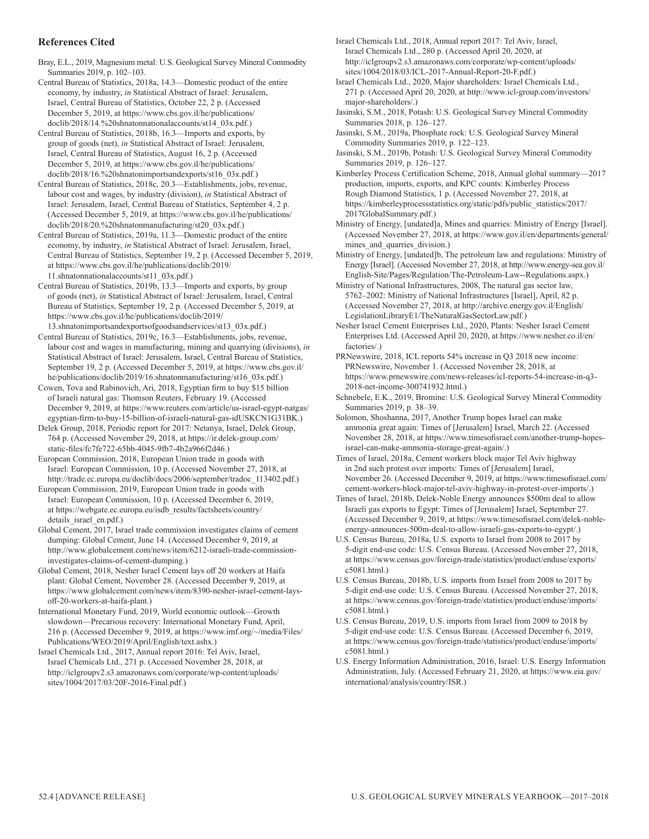#### **References Cited**

Bray, E.L., 2019, Magnesium metal: U.S. Geological Survey Mineral Commodity Summaries 2019, p. 102–103.

Central Bureau of Statistics, 2018a, 14.3—Domestic product of the entire economy, by industry, *in* Statistical Abstract of Israel: Jerusalem, Israel, Central Bureau of Statistics, October 22, 2 p. (Accessed December 5, 2019, at https://www.cbs.gov.il/he/publications/ doclib/2018/14.%20shnatonnationalaccounts/st14\_03x.pdf.)

Central Bureau of Statistics, 2018b, 16.3—Imports and exports, by group of goods (net), *in* Statistical Abstract of Israel: Jerusalem, Israel, Central Bureau of Statistics, August 16, 2 p. (Accessed December 5, 2019, at https://www.cbs.gov.il/he/publications/ doclib/2018/16.%20shnatonimportsandexports/st16\_03x.pdf.)

Central Bureau of Statistics, 2018c, 20.3—Establishments, jobs, revenue, labour cost and wages, by industry (division), *in* Statistical Abstract of Israel: Jerusalem, Israel, Central Bureau of Statistics, September 4, 2 p. (Accessed December 5, 2019, at https://www.cbs.gov.il/he/publications/ doclib/2018/20.%20shnatonmanufacturing/st20\_03x.pdf.)

Central Bureau of Statistics, 2019a, 11.3—Domestic product of the entire economy, by industry, *in* Statistical Abstract of Israel: Jerusalem, Israel, Central Bureau of Statistics, September 19, 2 p. (Accessed December 5, 2019, at https://www.cbs.gov.il/he/publications/doclib/2019/ 11.shnatonnationalaccounts/st11\_03x.pdf.)

Central Bureau of Statistics, 2019b, 13.3—Imports and exports, by group of goods (net), *in* Statistical Abstract of Israel: Jerusalem, Israel, Central Bureau of Statistics, September 19, 2 p. (Accessed December 5, 2019, at https://www.cbs.gov.il/he/publications/doclib/2019/

13.shnatonimportsandexportsofgoodsandservices/st13\_03x.pdf.) Central Bureau of Statistics, 2019c, 16.3—Establishments, jobs, revenue, labour cost and wages in manufacturing, mining and quarrying (divisions), *in* Statistical Abstract of Israel: Jerusalem, Israel, Central Bureau of Statistics, September 19, 2 p. (Accessed December 5, 2019, at https://www.cbs.gov.il/ he/publications/doclib/2019/16.shnatonmanufacturing/st16\_03x.pdf.)

Cowen, Tova and Rabinovich, Ari, 2018, Egyptian firm to buy \$15 billion of Israeli natural gas: Thomson Reuters, February 19. (Accessed December 9, 2019, at https://www.reuters.com/article/us-israel-egypt-natgas/ egyptian-firm-to-buy-15-billion-of-israeli-natural-gas-idUSKCN1G31BK.)

Delek Group, 2018, Periodic report for 2017: Netanya, Israel, Delek Group, 764 p. (Accessed November 29, 2018, at https://ir.delek-group.com/ static-files/fc7fe722-65bb-4045-9fb7-4b2a966f2d46.)

European Commission, 2018, European Union trade in goods with Israel: European Commission, 10 p. (Accessed November 27, 2018, at http://trade.ec.europa.eu/doclib/docs/2006/september/tradoc\_113402.pdf.)

European Commission, 2019, European Union trade in goods with Israel: European Commission, 10 p. (Accessed December 6, 2019, at https://webgate.ec.europa.eu/isdb\_results/factsheets/country/ details\_israel\_en.pdf.)

Global Cement, 2017, Israel trade commission investigates claims of cement dumping: Global Cement, June 14. (Accessed December 9, 2019, at http://www.globalcement.com/news/item/6212-israeli-trade-commissioninvestigates-claims-of-cement-dumping.)

Global Cement, 2018, Nesher Israel Cement lays off 20 workers at Haifa plant: Global Cement, November 28. (Accessed December 9, 2019, at https://www.globalcement.com/news/item/8390-nesher-israel-cement-laysoff-20-workers-at-haifa-plant.)

International Monetary Fund, 2019, World economic outlook—Growth slowdown—Precarious recovery: International Monetary Fund, April, 216 p. (Accessed December 9, 2019, at https://www.imf.org/~/media/Files/ Publications/WEO/2019/April/English/text.ashx.)

Israel Chemicals Ltd., 2017, Annual report 2016: Tel Aviv, Israel, Israel Chemicals Ltd., 271 p. (Accessed November 28, 2018, at http://iclgroupv2.s3.amazonaws.com/corporate/wp-content/uploads/ sites/1004/2017/03/20F-2016-Final.pdf.)

Israel Chemicals Ltd., 2018, Annual report 2017: Tel Aviv, Israel, Israel Chemicals Ltd., 280 p. (Accessed April 20, 2020, at http://iclgroupv2.s3.amazonaws.com/corporate/wp-content/uploads/ sites/1004/2018/03/ICL-2017-Annual-Report-20-F.pdf.)

Israel Chemicals Ltd., 2020, Major shareholders: Israel Chemicals Ltd., 271 p. (Accessed April 20, 2020, at http://www.icl-group.com/investors/ major-shareholders/.)

Jasinski, S.M., 2018, Potash: U.S. Geological Survey Mineral Commodity Summaries 2018, p. 126–127.

Jasinski, S.M., 2019a, Phosphate rock: U.S. Geological Survey Mineral Commodity Summaries 2019, p. 122–123.

Jasinski, S.M., 2019b, Potash: U.S. Geological Survey Mineral Commodity Summaries 2019, p. 126–127.

Kimberley Process Certification Scheme, 2018, Annual global summary—2017 production, imports, exports, and KPC counts: Kimberley Process Rough Diamond Statistics, 1 p. (Accessed November 27, 2018, at https://kimberleyprocessstatistics.org/static/pdfs/public\_statistics/2017/ 2017GlobalSummary.pdf.)

Ministry of Energy, [undated]a, Mines and quarries: Ministry of Energy [Israel]. (Accessed November 27, 2018, at https://www.gov.il/en/departments/general/ mines and quarries division.)

Ministry of Energy, [undated]b, The petroleum law and regulations: Ministry of Energy [Israel]. (Accessed November 27, 2018, at http://www.energy-sea.gov.il/ English-Site/Pages/Regulation/The-Petroleum-Law--Regulations.aspx.)

Ministry of National Infrastructures, 2008, The natural gas sector law, 5762–2002: Ministry of National Infrastructures [Israel], April, 82 p. (Accessed November 27, 2018, at http://archive.energy.gov.il/English/ LegislationLibraryE1/TheNaturalGasSectorLaw.pdf.)

Nesher Israel Cement Enterprises Ltd., 2020, Plants: Nesher Israel Cement Enterprises Ltd. (Accessed April 20, 2020, at https://www.nesher.co.il/en/ factories/.)

PRNewswire, 2018, ICL reports 54% increase in Q3 2018 new income: PRNewswire, November 1. (Accessed November 28, 2018, at https://www.prnewswire.com/news-releases/icl-reports-54-increase-in-q3- 2018-net-income-300741932.html.)

Schnebele, E.K., 2019, Bromine: U.S. Geological Survey Mineral Commodity Summaries 2019, p. 38–39.

Solomon, Shoshanna, 2017, Another Trump hopes Israel can make ammonia great again: Times of [Jerusalem] Israel, March 22. (Accessed November 28, 2018, at https://www.timesofisrael.com/another-trump-hopesisrael-can-make-ammonia-storage-great-again/.)

Times of Israel, 2018a, Cement workers block major Tel Aviv highway in 2nd such protest over imports: Times of [Jerusalem] Israel, November 26. (Accessed December 9, 2019, at https://www.timesofisrael.com/ cement-workers-block-major-tel-aviv-highway-in-protest-over-imports/.)

Times of Israel, 2018b, Delek-Noble Energy announces \$500m deal to allow Israeli gas exports to Egypt: Times of [Jerusalem] Israel, September 27. (Accessed December 9, 2019, at https://www.timesofisrael.com/delek-nobleenergy-announces-500m-deal-to-allow-israeli-gas-exports-to-egypt/.)

U.S. Census Bureau, 2018a, U.S. exports to Israel from 2008 to 2017 by 5-digit end-use code: U.S. Census Bureau. (Accessed November 27, 2018, at https://www.census.gov/foreign-trade/statistics/product/enduse/exports/ c5081.html.)

U.S. Census Bureau, 2018b, U.S. imports from Israel from 2008 to 2017 by 5-digit end-use code: U.S. Census Bureau. (Accessed November 27, 2018, at https://www.census.gov/foreign-trade/statistics/product/enduse/imports/ c5081.html.)

U.S. Census Bureau, 2019, U.S. imports from Israel from 2009 to 2018 by 5-digit end-use code: U.S. Census Bureau. (Accessed December 6, 2019, at https://www.census.gov/foreign-trade/statistics/product/enduse/imports/ c5081.html.)

U.S. Energy Information Administration, 2016, Israel: U.S. Energy Information Administration, July. (Accessed February 21, 2020, at https://www.eia.gov/ international/analysis/country/ISR.)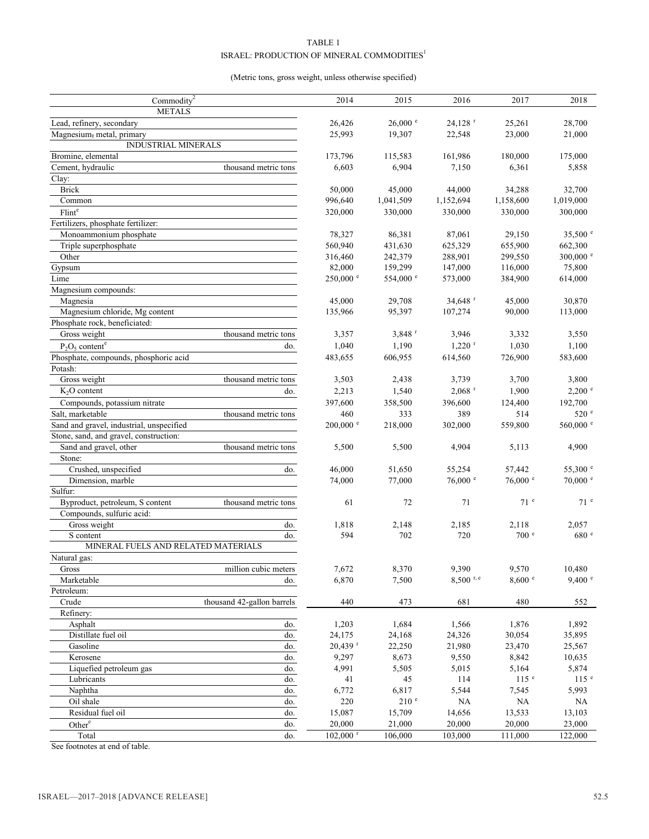#### TABLE 1  $\texttt{ISRAEL: PRODUCTION OF MINERAL COMMODITIES}^1$

#### (Metric tons, gross weight, unless otherwise specified)

| Commodity <sup>2</sup>                           |                            | 2014                   | 2015                 | 2016                 | 2017             | 2018                |
|--------------------------------------------------|----------------------------|------------------------|----------------------|----------------------|------------------|---------------------|
| <b>METALS</b>                                    |                            |                        |                      |                      |                  |                     |
| Lead, refinery, secondary                        |                            | 26,426                 | $26,000$ e           | 24,128 <sup>r</sup>  | 25,261           | 28,700              |
| Magnesium, metal, primary                        |                            | 25,993                 | 19,307               | 22,548               | 23,000           | 21,000              |
| <b>INDUSTRIAL MINERALS</b>                       |                            |                        |                      |                      |                  |                     |
| Bromine, elemental                               |                            | 173,796                | 115,583              | 161,986              | 180,000          | 175,000             |
| Cement, hydraulic                                | thousand metric tons       | 6,603                  | 6,904                | 7,150                | 6,361            | 5,858               |
| Clay:                                            |                            |                        |                      |                      |                  |                     |
| <b>Brick</b>                                     |                            | 50,000                 | 45,000               | 44,000               | 34,288           | 32,700              |
| Common                                           |                            | 996,640                | 1,041,509            | 1,152,694            | 1,158,600        | 1,019,000           |
| Flint <sup>e</sup>                               |                            | 320,000                | 330,000              | 330,000              | 330,000          | 300,000             |
| Fertilizers, phosphate fertilizer:               |                            |                        |                      |                      |                  |                     |
| Monoammonium phosphate                           |                            | 78,327                 | 86,381               | 87,061               | 29,150           | $35,500$ $^{\circ}$ |
| Triple superphosphate                            |                            | 560,940                | 431,630              | 625,329              | 655,900          | 662,300             |
| Other                                            |                            | 316,460                | 242,379              | 288,901              | 299,550          | $300,000$ e         |
| Gypsum                                           |                            | 82,000                 | 159,299              | 147,000              | 116,000          | 75,800              |
| Lime                                             |                            | $250,000$ e            | 554,000 °            | 573,000              | 384,900          | 614,000             |
| Magnesium compounds:                             |                            |                        |                      |                      |                  |                     |
| Magnesia                                         |                            | 45,000                 | 29,708               | 34,648 $r$           | 45,000           | 30,870              |
| Magnesium chloride, Mg content                   |                            | 135,966                | 95,397               | 107,274              | 90,000           | 113,000             |
| Phosphate rock, beneficiated:                    |                            |                        |                      |                      |                  |                     |
| Gross weight                                     | thousand metric tons       | 3,357                  | $3,848$ <sup>r</sup> | 3,946                | 3,332            | 3,550               |
| $P_2O_5$ content <sup>e</sup>                    | do.                        | 1,040                  | 1,190                | $1,220$ <sup>r</sup> | 1,030            | 1,100               |
| Phosphate, compounds, phosphoric acid            |                            | 483,655                | 606,955              | 614,560              | 726,900          | 583,600             |
| Potash:                                          |                            |                        |                      |                      |                  |                     |
| Gross weight                                     | thousand metric tons       | 3,503                  | 2,438                | 3,739                | 3,700            | 3,800               |
| $K2O$ content                                    | do.                        | 2,213                  | 1,540                | $2,068$ <sup>r</sup> | 1,900            | $2,200$ $\degree$   |
|                                                  |                            |                        |                      |                      |                  |                     |
| Compounds, potassium nitrate                     |                            | 397,600                | 358,500              | 396,600              | 124,400          | 192,700             |
| Salt, marketable                                 | thousand metric tons       | 460                    | 333                  | 389                  | 514              | 520 <sup>e</sup>    |
| Sand and gravel, industrial, unspecified         |                            | $200,000$ $^{\circ}$   | 218,000              | 302,000              | 559,800          | 560,000 °           |
| Stone, sand, and gravel, construction:           |                            |                        |                      |                      |                  |                     |
| Sand and gravel, other                           | thousand metric tons       | 5,500                  | 5,500                | 4,904                | 5,113            | 4,900               |
| Stone:                                           |                            |                        |                      |                      |                  |                     |
| Crushed, unspecified                             | do.                        | 46,000                 | 51,650               | 55,254               | 57,442           | 55,300 $^{\circ}$   |
| Dimension, marble                                |                            | 74,000                 | 77,000               | 76,000 e             | $76,000$ e       | $70,000$ $e$        |
| Sulfur:                                          |                            |                        |                      |                      |                  |                     |
| Byproduct, petroleum, S content                  | thousand metric tons       | 61                     | 72                   | 71                   | 71 <sup>e</sup>  | 71 <sup>e</sup>     |
| Compounds, sulfuric acid:                        |                            |                        |                      |                      |                  |                     |
| Gross weight                                     | do.                        | 1,818                  | 2,148                | 2,185                | 2,118            | 2,057               |
| S content<br>MINERAL FUELS AND RELATED MATERIALS | do.                        | 594                    | 702                  | 720                  | 700 <sup>e</sup> | 680 e               |
|                                                  |                            |                        |                      |                      |                  |                     |
| Natural gas:                                     |                            |                        |                      |                      |                  |                     |
| Gross                                            | million cubic meters       | 7,672                  | 8,370                | 9,390                | 9,570            | 10,480<br>9,400 °   |
| Marketable                                       | do.                        | 6,870                  | 7,500                | $8,500$ r, e         | 8,600 °          |                     |
| Petroleum:                                       |                            |                        |                      |                      |                  |                     |
| Crude                                            | thousand 42-gallon barrels | 440                    | 473                  | 681                  | 480              | 552                 |
| Refinery:                                        |                            |                        |                      |                      |                  |                     |
| Asphalt                                          | do.                        | 1,203                  | 1,684                | 1,566                | 1,876            | 1,892               |
| Distillate fuel oil                              | do.                        | 24,175                 | 24,168               | 24,326               | 30,054           | 35,895              |
| Gasoline                                         | do.                        | 20,439 r               | 22,250               | 21,980               | 23,470           | 25,567              |
| Kerosene                                         | do.                        | 9,297                  | 8,673                | 9,550                | 8,842            | 10,635              |
| Liquefied petroleum gas                          | do.                        | 4,991                  | 5,505                | 5,015                | 5,164            | 5,874               |
| Lubricants                                       | do.                        | 41                     | 45                   | 114                  | 115 <sup>e</sup> | 115 <sup>e</sup>    |
| Naphtha                                          | do.                        | 6,772                  | 6,817                | 5,544                | 7,545            | 5,993               |
| Oil shale                                        | do.                        | 220                    | 210 <sup>e</sup>     | NA                   | NA               | NA                  |
| Residual fuel oil                                | do.                        | 15,087                 | 15,709               | 14,656               | 13,533           | 13,103              |
| Other <sup>e</sup>                               | do.                        | 20,000                 | 21,000               | 20,000               | 20,000           | 23,000              |
| Total                                            | do.                        | $102,000$ <sup>r</sup> | 106,000              | 103,000              | 111,000          | 122,000             |

See footnotes at end of table.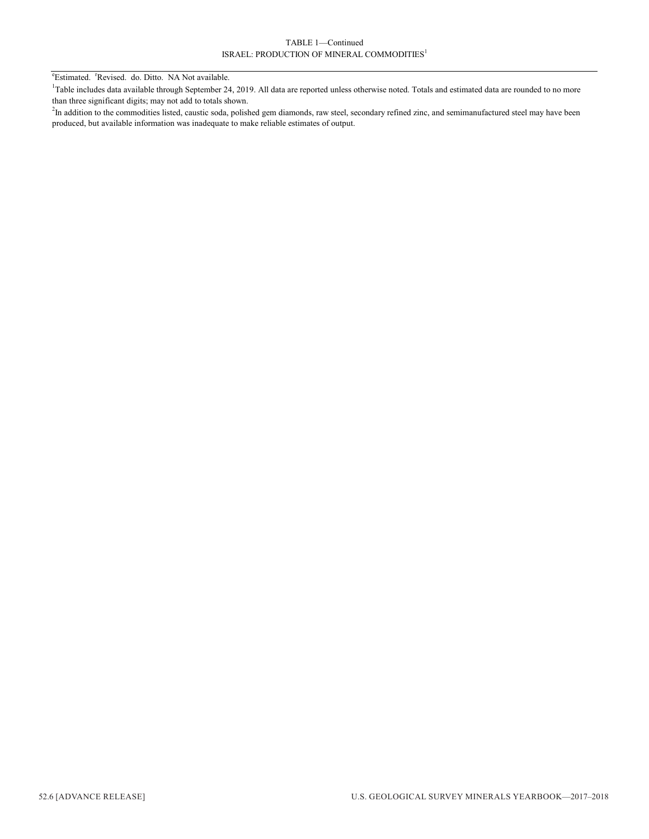#### TABLE 1—Continued ISRAEL: PRODUCTION OF MINERAL COMMODITIES<sup>1</sup>

<sup>e</sup>Estimated. <sup>r</sup>Revised. do. Ditto. NA Not available.

<sup>1</sup>Table includes data available through September 24, 2019. All data are reported unless otherwise noted. Totals and estimated data are rounded to no more than three significant digits; may not add to totals shown.

<sup>2</sup>In addition to the commodities listed, caustic soda, polished gem diamonds, raw steel, secondary refined zinc, and semimanufactured steel may have been produced, but available information was inadequate to make reliable estimates of output.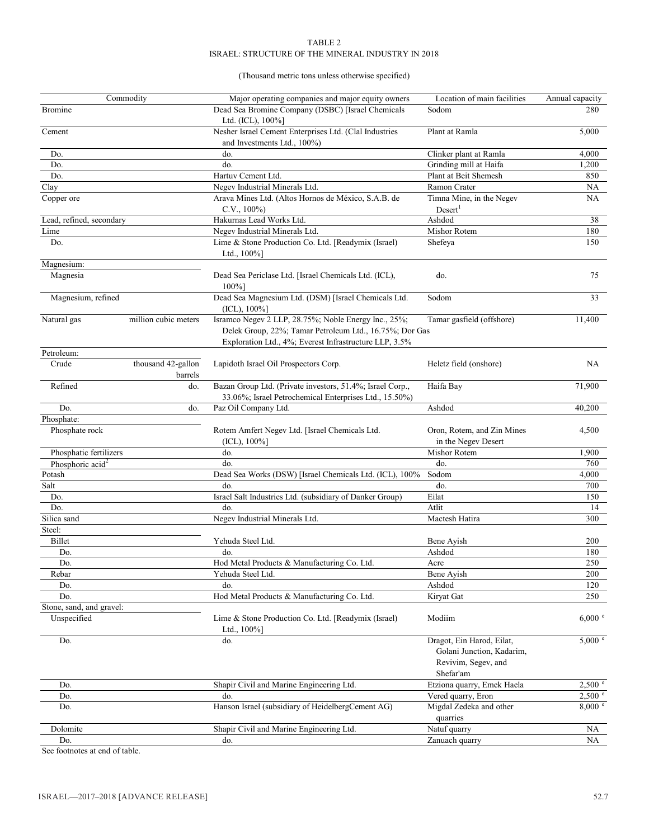#### TABLE 2 ISRAEL: STRUCTURE OF THE MINERAL INDUSTRY IN 2018

#### (Thousand metric tons unless otherwise specified)

|                              | Commodity                     | Major operating companies and major equity owners                                                                   | Location of main facilities                                                                | Annual capacity |
|------------------------------|-------------------------------|---------------------------------------------------------------------------------------------------------------------|--------------------------------------------------------------------------------------------|-----------------|
| <b>Bromine</b>               |                               | Dead Sea Bromine Company (DSBC) [Israel Chemicals<br>Ltd. (ICL), $100\%$ ]                                          | Sodom                                                                                      | 280             |
| Cement                       |                               | Nesher Israel Cement Enterprises Ltd. (Clal Industries<br>and Investments Ltd., 100%)                               | Plant at Ramla                                                                             | 5,000           |
| Do.                          |                               | do.                                                                                                                 | Clinker plant at Ramla                                                                     | 4,000           |
| Do.                          |                               | do.                                                                                                                 | Grinding mill at Haifa                                                                     | 1,200           |
| Do.                          |                               | Hartuv Cement Ltd.                                                                                                  | Plant at Beit Shemesh                                                                      | 850             |
| Clay                         |                               | Negev Industrial Minerals Ltd.                                                                                      | Ramon Crater                                                                               | NA              |
| Copper ore                   |                               | Arava Mines Ltd. (Altos Hornos de México, S.A.B. de<br>$C.V., 100\%)$                                               | Timna Mine, in the Negev<br>Desert <sup>1</sup>                                            | NA              |
| Lead, refined, secondary     |                               | Hakurnas Lead Works Ltd.                                                                                            | Ashdod                                                                                     | 38              |
| Lime                         |                               | Negev Industrial Minerals Ltd.                                                                                      | Mishor Rotem                                                                               | 180             |
| Do.                          |                               | Lime & Stone Production Co. Ltd. [Readymix (Israel)<br>Ltd., $100\%$ ]                                              | Shefeya                                                                                    | 150             |
| Magnesium:                   |                               |                                                                                                                     |                                                                                            |                 |
| Magnesia                     |                               | Dead Sea Periclase Ltd. [Israel Chemicals Ltd. (ICL),<br>100%]                                                      | do.                                                                                        | 75              |
| Magnesium, refined           |                               | Dead Sea Magnesium Ltd. (DSM) [Israel Chemicals Ltd.<br>(ICL), 100%]                                                | Sodom                                                                                      | 33              |
| Natural gas                  | million cubic meters          | Isramco Negev 2 LLP, 28.75%; Noble Energy Inc., 25%;<br>Exploration Ltd., 4%; Everest Infrastructure LLP, 3.5%      | Tamar gasfield (offshore)<br>Delek Group, 22%; Tamar Petroleum Ltd., 16.75%; Dor Gas       |                 |
| Petroleum:                   |                               |                                                                                                                     |                                                                                            |                 |
| Crude                        | thousand 42-gallon<br>barrels | Lapidoth Israel Oil Prospectors Corp.                                                                               | Heletz field (onshore)                                                                     | NA              |
| Refined                      | do.                           | Bazan Group Ltd. (Private investors, 51.4%; Israel Corp.,<br>33.06%; Israel Petrochemical Enterprises Ltd., 15.50%) | Haifa Bay                                                                                  | 71,900          |
| Do.                          | do.                           | Paz Oil Company Ltd.                                                                                                | Ashdod                                                                                     | 40,200          |
| Phosphate:<br>Phosphate rock |                               | Rotem Amfert Negev Ltd. [Israel Chemicals Ltd.<br>$(ICL), 100\%$ ]                                                  | Oron, Rotem, and Zin Mines<br>in the Negev Desert                                          | 4,500           |
| Phosphatic fertilizers       |                               | do.                                                                                                                 | Mishor Rotem                                                                               | 1,900           |
| Phosphoric acid <sup>2</sup> |                               | do.                                                                                                                 | do.                                                                                        | 760             |
| Potash                       |                               | Dead Sea Works (DSW) [Israel Chemicals Ltd. (ICL), 100%                                                             | Sodom                                                                                      | 4,000           |
| Salt                         |                               | do.                                                                                                                 | do.                                                                                        | 700             |
| Do.                          |                               | Israel Salt Industries Ltd. (subsidiary of Danker Group)                                                            | Eilat                                                                                      | 150             |
| Do.                          |                               | do.                                                                                                                 | Atlit                                                                                      | 14              |
| Silica sand                  |                               | Negev Industrial Minerals Ltd.                                                                                      | Mactesh Hatira                                                                             | 300             |
| Steel:                       |                               |                                                                                                                     |                                                                                            |                 |
| Billet                       |                               | Yehuda Steel Ltd.                                                                                                   | Bene Ayish                                                                                 | 200             |
| Do.                          |                               | do.                                                                                                                 | Ashdod                                                                                     | 180             |
| Do.                          |                               | Hod Metal Products & Manufacturing Co. Ltd.                                                                         | Acre                                                                                       | 250             |
| Rebar                        |                               | Yehuda Steel Ltd.                                                                                                   | Bene Ayish                                                                                 | 200             |
| Do.                          |                               | do.                                                                                                                 | Ashdod                                                                                     | 120             |
| Do.                          |                               | Hod Metal Products & Manufacturing Co. Ltd.                                                                         | Kiryat Gat                                                                                 | 250             |
| Stone, sand, and gravel:     |                               |                                                                                                                     |                                                                                            |                 |
| Unspecified                  |                               | Lime & Stone Production Co. Ltd. [Readymix (Israel)<br>Ltd., 100%]                                                  | Modiim                                                                                     | 6,000 °         |
| Do.                          |                               | do.                                                                                                                 | Dragot, Ein Harod, Eilat,<br>Golani Junction, Kadarim,<br>Revivim, Segev, and<br>Shefar'am | $5,000$ e       |
| Do.                          |                               | Shapir Civil and Marine Engineering Ltd.                                                                            | Etziona quarry, Emek Haela                                                                 | 2,500 °         |
| Do.                          |                               | do.                                                                                                                 | Vered quarry, Eron                                                                         | 2,500 °         |
| Do.                          |                               | Hanson Israel (subsidiary of HeidelbergCement AG)                                                                   | Migdal Zedeka and other<br>quarries                                                        | 8,000 °         |
| Dolomite                     |                               | Shapir Civil and Marine Engineering Ltd.                                                                            | Natuf quarry                                                                               | NA              |
| Do.                          |                               | do.                                                                                                                 | Zanuach quarry                                                                             | NA              |

See footnotes at end of table.